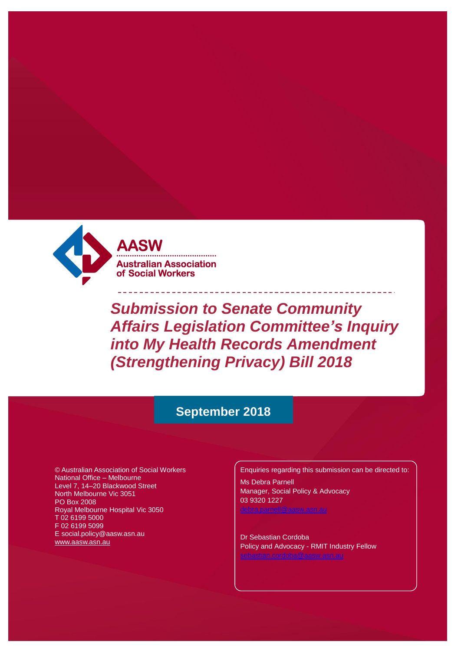

**AASW Australian Association** of Social Workers

*Submission to Senate Community Affairs Legislation Committee's Inquiry into My Health Records Amendment (Strengthening Privacy) Bill 2018*

# **September 2018**

© Australian Association of Social Workers National Office – Melbourne Level 7, 14–20 Blackwood Street North Melbourne Vic 3051 PO Box 2008 Royal Melbourne Hospital Vic 3050 T 02 6199 5000 F 02 6199 5099 [E social.policy@aasw.asn.au](mailto:advocacy@aasw.asn.au) [www.aasw.asn.au](http://www.aasw.asn.au/)

Enquiries regarding this submission can be directed to:

Ms Debra Parnell Manager, Social Policy & Advocacy 03 9320 1227

Dr Sebastian Cordoba Policy and Advocacy - RMIT Industry Fellow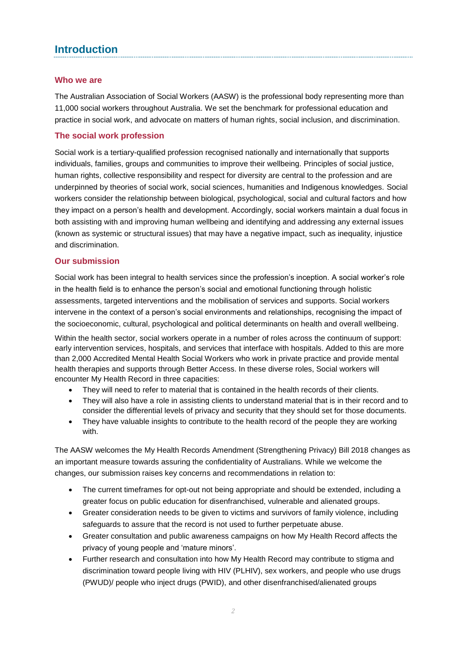# **Introduction**

## **Who we are**

The Australian Association of Social Workers (AASW) is the professional body representing more than 11,000 social workers throughout Australia. We set the benchmark for professional education and practice in social work, and advocate on matters of human rights, social inclusion, and discrimination.

## **The social work profession**

Social work is a tertiary-qualified profession recognised nationally and internationally that supports individuals, families, groups and communities to improve their wellbeing. Principles of social justice, human rights, collective responsibility and respect for diversity are central to the profession and are underpinned by theories of social work, social sciences, humanities and Indigenous knowledges. Social workers consider the relationship between biological, psychological, social and cultural factors and how they impact on a person's health and development. Accordingly, social workers maintain a dual focus in both assisting with and improving human wellbeing and identifying and addressing any external issues (known as systemic or structural issues) that may have a negative impact, such as inequality, injustice and discrimination.

### **Our submission**

Social work has been integral to health services since the profession's inception. A social worker's role in the health field is to enhance the person's social and emotional functioning through holistic assessments, targeted interventions and the mobilisation of services and supports. Social workers intervene in the context of a person's social environments and relationships, recognising the impact of the socioeconomic, cultural, psychological and political determinants on health and overall wellbeing.

Within the health sector, social workers operate in a number of roles across the continuum of support: early intervention services, hospitals, and services that interface with hospitals. Added to this are more than 2,000 Accredited Mental Health Social Workers who work in private practice and provide mental health therapies and supports through Better Access. In these diverse roles, Social workers will encounter My Health Record in three capacities:

- They will need to refer to material that is contained in the health records of their clients.
- They will also have a role in assisting clients to understand material that is in their record and to consider the differential levels of privacy and security that they should set for those documents.
- They have valuable insights to contribute to the health record of the people they are working with.

The AASW welcomes the My Health Records Amendment (Strengthening Privacy) Bill 2018 changes as an important measure towards assuring the confidentiality of Australians. While we welcome the changes, our submission raises key concerns and recommendations in relation to:

- The current timeframes for opt-out not being appropriate and should be extended, including a greater focus on public education for disenfranchised, vulnerable and alienated groups.
- Greater consideration needs to be given to victims and survivors of family violence, including safeguards to assure that the record is not used to further perpetuate abuse.
- Greater consultation and public awareness campaigns on how My Health Record affects the privacy of young people and 'mature minors'.
- Further research and consultation into how My Health Record may contribute to stigma and discrimination toward people living with HIV (PLHIV), sex workers, and people who use drugs (PWUD)/ people who inject drugs (PWID), and other disenfranchised/alienated groups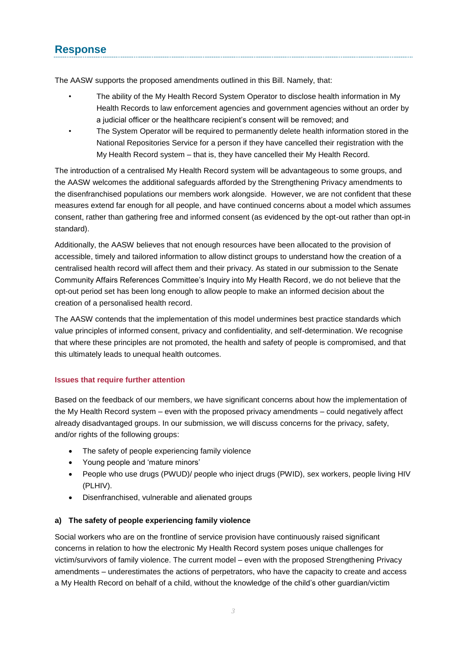# **Response**

The AASW supports the proposed amendments outlined in this Bill. Namely, that:

- The ability of the My Health Record System Operator to disclose health information in My Health Records to law enforcement agencies and government agencies without an order by a judicial officer or the healthcare recipient's consent will be removed; and
- The System Operator will be required to permanently delete health information stored in the National Repositories Service for a person if they have cancelled their registration with the My Health Record system – that is, they have cancelled their My Health Record.

The introduction of a centralised My Health Record system will be advantageous to some groups, and the AASW welcomes the additional safeguards afforded by the Strengthening Privacy amendments to the disenfranchised populations our members work alongside. However, we are not confident that these measures extend far enough for all people, and have continued concerns about a model which assumes consent, rather than gathering free and informed consent (as evidenced by the opt-out rather than opt-in standard).

Additionally, the AASW believes that not enough resources have been allocated to the provision of accessible, timely and tailored information to allow distinct groups to understand how the creation of a centralised health record will affect them and their privacy. As stated in our submission to the Senate Community Affairs References Committee's Inquiry into My Health Record, we do not believe that the opt-out period set has been long enough to allow people to make an informed decision about the creation of a personalised health record.

The AASW contends that the implementation of this model undermines best practice standards which value principles of informed consent, privacy and confidentiality, and self-determination. We recognise that where these principles are not promoted, the health and safety of people is compromised, and that this ultimately leads to unequal health outcomes.

### **Issues that require further attention**

Based on the feedback of our members, we have significant concerns about how the implementation of the My Health Record system – even with the proposed privacy amendments – could negatively affect already disadvantaged groups. In our submission, we will discuss concerns for the privacy, safety, and/or rights of the following groups:

- The safety of people experiencing family violence
- Young people and 'mature minors'
- People who use drugs (PWUD)/ people who inject drugs (PWID), sex workers, people living HIV (PLHIV).
- Disenfranchised, vulnerable and alienated groups

#### **a) The safety of people experiencing family violence**

Social workers who are on the frontline of service provision have continuously raised significant concerns in relation to how the electronic My Health Record system poses unique challenges for victim/survivors of family violence. The current model – even with the proposed Strengthening Privacy amendments – underestimates the actions of perpetrators, who have the capacity to create and access a My Health Record on behalf of a child, without the knowledge of the child's other guardian/victim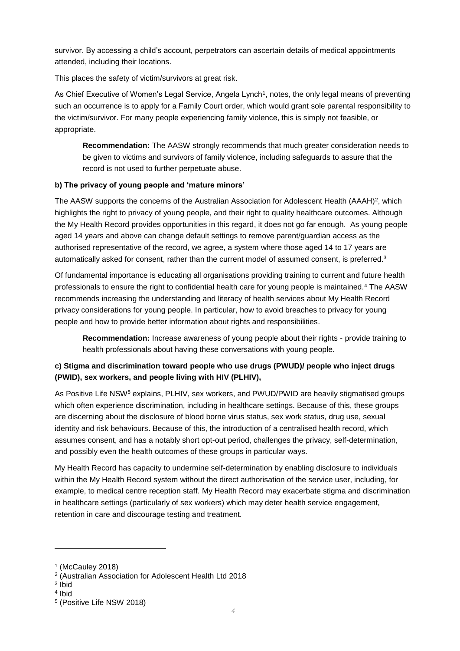survivor. By accessing a child's account, perpetrators can ascertain details of medical appointments attended, including their locations.

This places the safety of victim/survivors at great risk.

As Chief Executive of Women's Legal Service, Angela Lynch<sup>1</sup>, notes, the only legal means of preventing such an occurrence is to apply for a Family Court order, which would grant sole parental responsibility to the victim/survivor. For many people experiencing family violence, this is simply not feasible, or appropriate.

**Recommendation:** The AASW strongly recommends that much greater consideration needs to be given to victims and survivors of family violence, including safeguards to assure that the record is not used to further perpetuate abuse.

### **b) The privacy of young people and 'mature minors'**

The AASW supports the concerns of the Australian Association for Adolescent Health (AAAH)<sup>2</sup>, which highlights the right to privacy of young people, and their right to quality healthcare outcomes. Although the My Health Record provides opportunities in this regard, it does not go far enough. As young people aged 14 years and above can change default settings to remove parent/guardian access as the authorised representative of the record, we agree, a system where those aged 14 to 17 years are automatically asked for consent, rather than the current model of assumed consent, is preferred.<sup>3</sup>

Of fundamental importance is educating all organisations providing training to current and future health professionals to ensure the right to confidential health care for young people is maintained.<sup>4</sup> The AASW recommends increasing the understanding and literacy of health services about My Health Record privacy considerations for young people. In particular, how to avoid breaches to privacy for young people and how to provide better information about rights and responsibilities.

**Recommendation:** Increase awareness of young people about their rights - provide training to health professionals about having these conversations with young people.

# **c) Stigma and discrimination toward people who use drugs (PWUD)/ people who inject drugs (PWID), sex workers, and people living with HIV (PLHIV),**

As Positive Life NSW<sup>5</sup> explains, PLHIV, sex workers, and PWUD/PWID are heavily stigmatised groups which often experience discrimination, including in healthcare settings. Because of this, these groups are discerning about the disclosure of blood borne virus status, sex work status, drug use, sexual identity and risk behaviours. Because of this, the introduction of a centralised health record, which assumes consent, and has a notably short opt-out period, challenges the privacy, self-determination, and possibly even the health outcomes of these groups in particular ways.

My Health Record has capacity to undermine self-determination by enabling disclosure to individuals within the My Health Record system without the direct authorisation of the service user, including, for example, to medical centre reception staff. My Health Record may exacerbate stigma and discrimination in healthcare settings (particularly of sex workers) which may deter health service engagement, retention in care and discourage testing and treatment.

3 Ibid

l

<sup>1</sup> (McCauley 2018)

<sup>2</sup> (Australian Association for Adolescent Health Ltd 2018

<sup>4</sup> Ibid

<sup>5</sup> (Positive Life NSW 2018)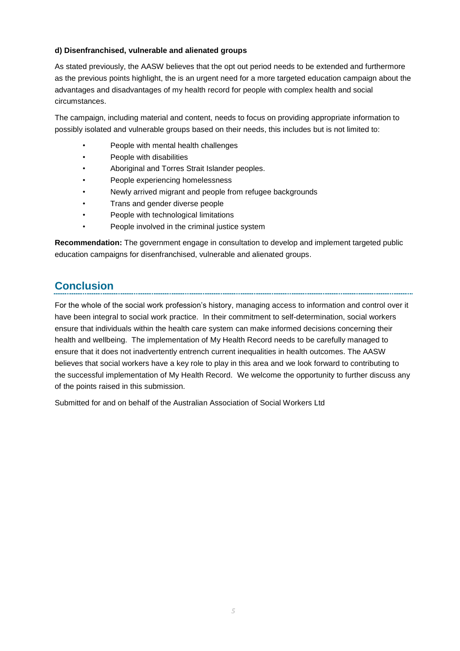#### **d) Disenfranchised, vulnerable and alienated groups**

As stated previously, the AASW believes that the opt out period needs to be extended and furthermore as the previous points highlight, the is an urgent need for a more targeted education campaign about the advantages and disadvantages of my health record for people with complex health and social circumstances.

The campaign, including material and content, needs to focus on providing appropriate information to possibly isolated and vulnerable groups based on their needs, this includes but is not limited to:

- People with mental health challenges
- People with disabilities
- Aboriginal and Torres Strait Islander peoples.
- People experiencing homelessness
- Newly arrived migrant and people from refugee backgrounds
- Trans and gender diverse people
- People with technological limitations
- People involved in the criminal justice system

**Recommendation:** The government engage in consultation to develop and implement targeted public education campaigns for disenfranchised, vulnerable and alienated groups.

# **Conclusion**

For the whole of the social work profession's history, managing access to information and control over it have been integral to social work practice. In their commitment to self-determination, social workers ensure that individuals within the health care system can make informed decisions concerning their health and wellbeing. The implementation of My Health Record needs to be carefully managed to ensure that it does not inadvertently entrench current inequalities in health outcomes. The AASW believes that social workers have a key role to play in this area and we look forward to contributing to the successful implementation of My Health Record. We welcome the opportunity to further discuss any of the points raised in this submission.

Submitted for and on behalf of the Australian Association of Social Workers Ltd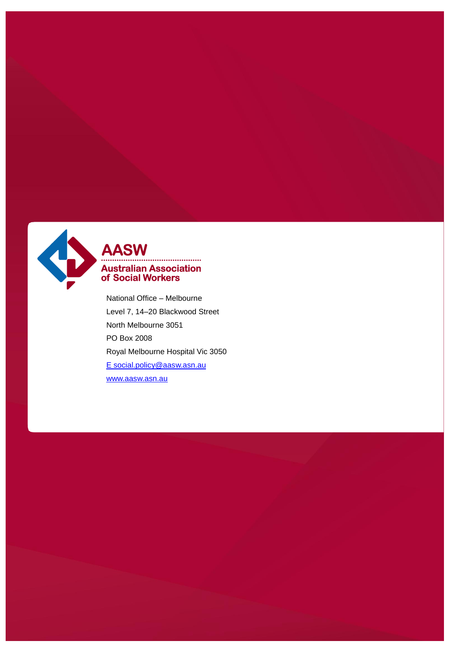

# AASW **Australian Association<br>of Social Workers**

National Office – Melbourne Level 7, 14–20 Blackwood Street North Melbourne 3051 PO Box 2008 Royal Melbourne Hospital Vic 3050 [E social.policy@aas](mailto:E%20social.policy@aas)[w.asn.au](mailto:advocacy@aasw.asn.au) [www.aasw.asn.au](http://www.aasw.asn.au/)